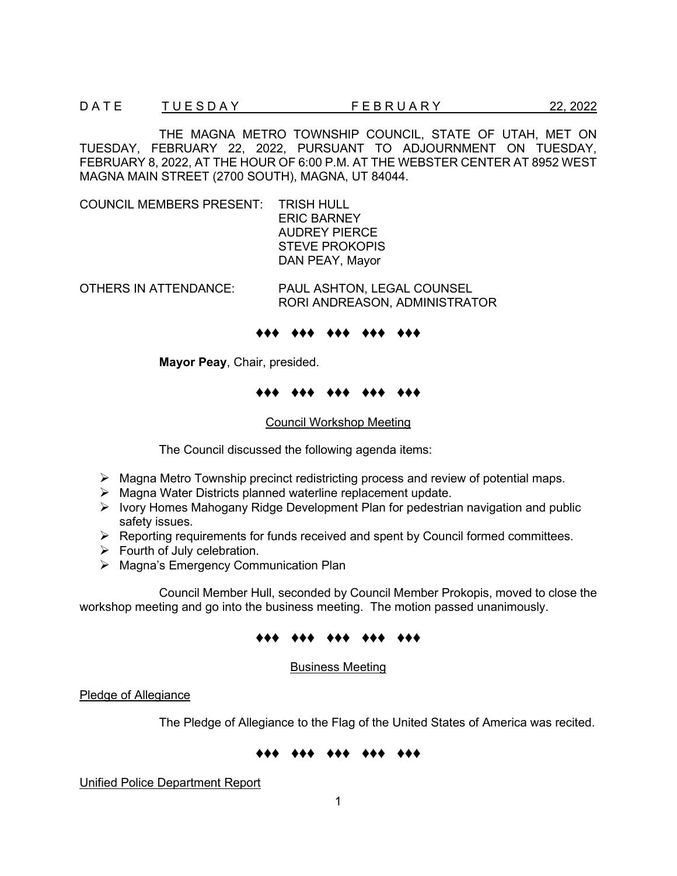THE MAGNA METRO TOWNSHIP COUNCIL, STATE OF UTAH, MET ON TUESDAY, FEBRUARY 22, 2022, PURSUANT TO ADJOURNMENT ON TUESDAY, FEBRUARY 8, 2022, AT THE HOUR OF 6:00 P.M. AT THE WEBSTER CENTER AT 8952 WEST MAGNA MAIN STREET (2700 SOUTH), MAGNA, UT 84044.

COUNCIL MEMBERS PRESENT: TRISH HULL ERIC BARNEY AUDREY PIERCE STEVE PROKOPIS DAN PEAY, Mayor

OTHERS IN ATTENDANCE: PAUL ASHTON, LEGAL COUNSEL

RORI ANDREASON, ADMINISTRATOR

## ♦♦♦ ♦♦♦ ♦♦♦ ♦♦♦ ♦♦♦

**Mayor Peay**, Chair, presided.

## ♦♦♦ ♦♦♦ ♦♦♦ ♦♦♦ ♦♦♦

Council Workshop Meeting

The Council discussed the following agenda items:

- $\triangleright$  Magna Metro Township precinct redistricting process and review of potential maps.
- $\triangleright$  Magna Water Districts planned waterline replacement update.
- $\triangleright$  Ivory Homes Mahogany Ridge Development Plan for pedestrian navigation and public safety issues.
- $\triangleright$  Reporting requirements for funds received and spent by Council formed committees.
- $\triangleright$  Fourth of July celebration.
- $\triangleright$  Magna's Emergency Communication Plan

Council Member Hull, seconded by Council Member Prokopis, moved to close the workshop meeting and go into the business meeting. The motion passed unanimously.

## ♦♦♦ ♦♦♦ ♦♦♦ ♦♦♦ ♦♦♦

Business Meeting

Pledge of Allegiance

The Pledge of Allegiance to the Flag of the United States of America was recited.

# ♦♦♦ ♦♦♦ ♦♦♦ ♦♦♦ ♦♦♦

Unified Police Department Report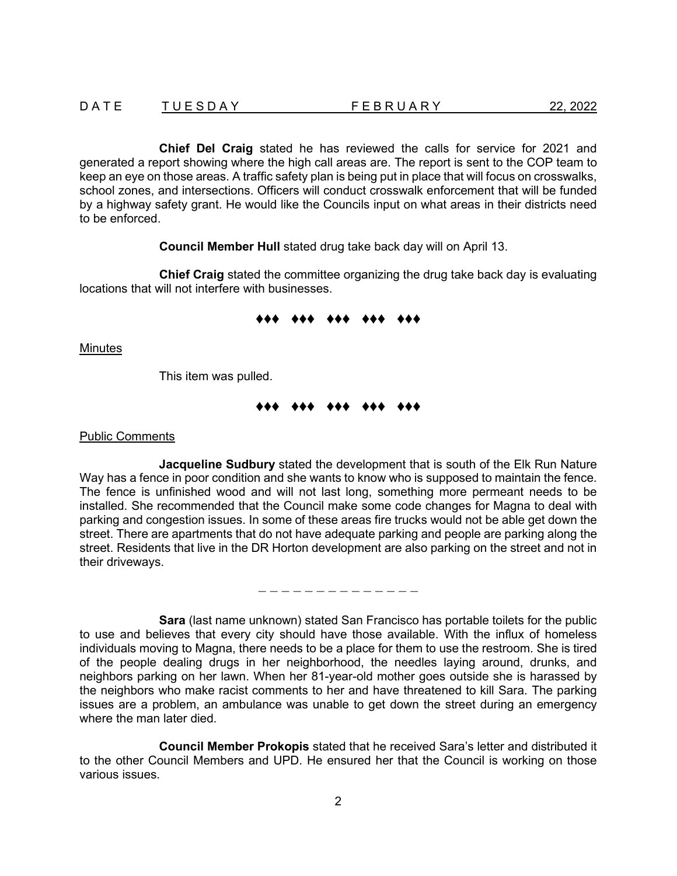**Chief Del Craig** stated he has reviewed the calls for service for 2021 and generated a report showing where the high call areas are. The report is sent to the COP team to keep an eye on those areas. A traffic safety plan is being put in place that will focus on crosswalks, school zones, and intersections. Officers will conduct crosswalk enforcement that will be funded by a highway safety grant. He would like the Councils input on what areas in their districts need to be enforced.

**Council Member Hull** stated drug take back day will on April 13.

**Chief Craig** stated the committee organizing the drug take back day is evaluating locations that will not interfere with businesses.

## ♦♦♦ ♦♦♦ ♦♦♦ ♦♦♦ ♦♦♦

Minutes

This item was pulled.

# ♦♦♦ ♦♦♦ ♦♦♦ ♦♦♦ ♦♦♦

Public Comments

**Jacqueline Sudbury** stated the development that is south of the Elk Run Nature Way has a fence in poor condition and she wants to know who is supposed to maintain the fence. The fence is unfinished wood and will not last long, something more permeant needs to be installed. She recommended that the Council make some code changes for Magna to deal with parking and congestion issues. In some of these areas fire trucks would not be able get down the street. There are apartments that do not have adequate parking and people are parking along the street. Residents that live in the DR Horton development are also parking on the street and not in their driveways.

− − − − − − − − − − − − − −

**Sara** (last name unknown) stated San Francisco has portable toilets for the public to use and believes that every city should have those available. With the influx of homeless individuals moving to Magna, there needs to be a place for them to use the restroom. She is tired of the people dealing drugs in her neighborhood, the needles laying around, drunks, and neighbors parking on her lawn. When her 81-year-old mother goes outside she is harassed by the neighbors who make racist comments to her and have threatened to kill Sara. The parking issues are a problem, an ambulance was unable to get down the street during an emergency where the man later died.

**Council Member Prokopis** stated that he received Sara's letter and distributed it to the other Council Members and UPD. He ensured her that the Council is working on those various issues.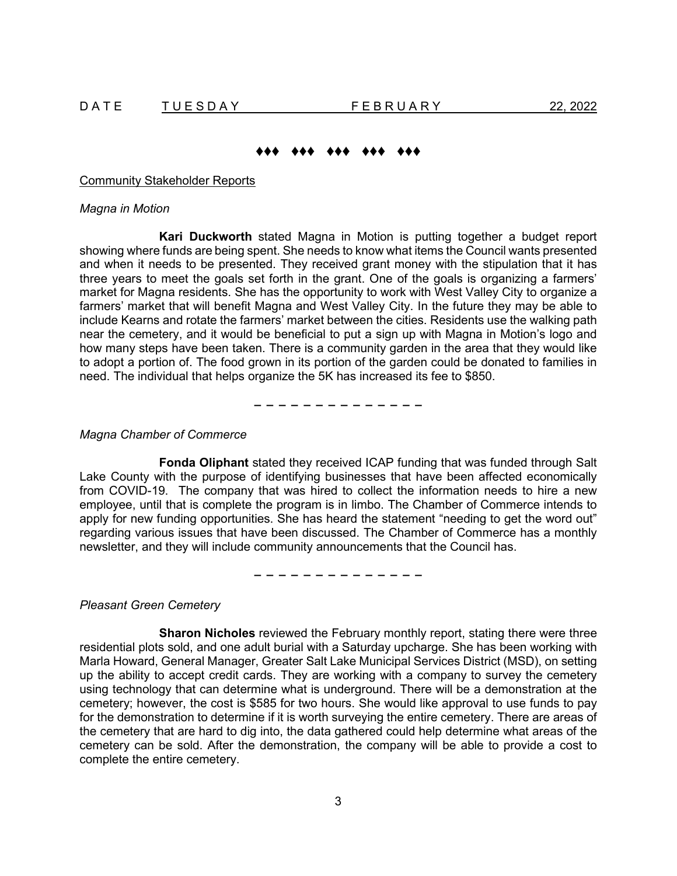# ♦♦♦ ♦♦♦ ♦♦♦ ♦♦♦ ♦♦♦

Community Stakeholder Reports

### *Magna in Motion*

**Kari Duckworth** stated Magna in Motion is putting together a budget report showing where funds are being spent. She needs to know what items the Council wants presented and when it needs to be presented. They received grant money with the stipulation that it has three years to meet the goals set forth in the grant. One of the goals is organizing a farmers' market for Magna residents. She has the opportunity to work with West Valley City to organize a farmers' market that will benefit Magna and West Valley City. In the future they may be able to include Kearns and rotate the farmers' market between the cities. Residents use the walking path near the cemetery, and it would be beneficial to put a sign up with Magna in Motion's logo and how many steps have been taken. There is a community garden in the area that they would like to adopt a portion of. The food grown in its portion of the garden could be donated to families in need. The individual that helps organize the 5K has increased its fee to \$850.

− − − − − − − − − − − − − −

### *Magna Chamber of Commerce*

**Fonda Oliphant** stated they received ICAP funding that was funded through Salt Lake County with the purpose of identifying businesses that have been affected economically from COVID-19. The company that was hired to collect the information needs to hire a new employee, until that is complete the program is in limbo. The Chamber of Commerce intends to apply for new funding opportunities. She has heard the statement "needing to get the word out" regarding various issues that have been discussed. The Chamber of Commerce has a monthly newsletter, and they will include community announcements that the Council has.

− − − − − − − − − − − − − −

*Pleasant Green Cemetery*

**Sharon Nicholes** reviewed the February monthly report, stating there were three residential plots sold, and one adult burial with a Saturday upcharge. She has been working with Marla Howard, General Manager, Greater Salt Lake Municipal Services District (MSD), on setting up the ability to accept credit cards. They are working with a company to survey the cemetery using technology that can determine what is underground. There will be a demonstration at the cemetery; however, the cost is \$585 for two hours. She would like approval to use funds to pay for the demonstration to determine if it is worth surveying the entire cemetery. There are areas of the cemetery that are hard to dig into, the data gathered could help determine what areas of the cemetery can be sold. After the demonstration, the company will be able to provide a cost to complete the entire cemetery.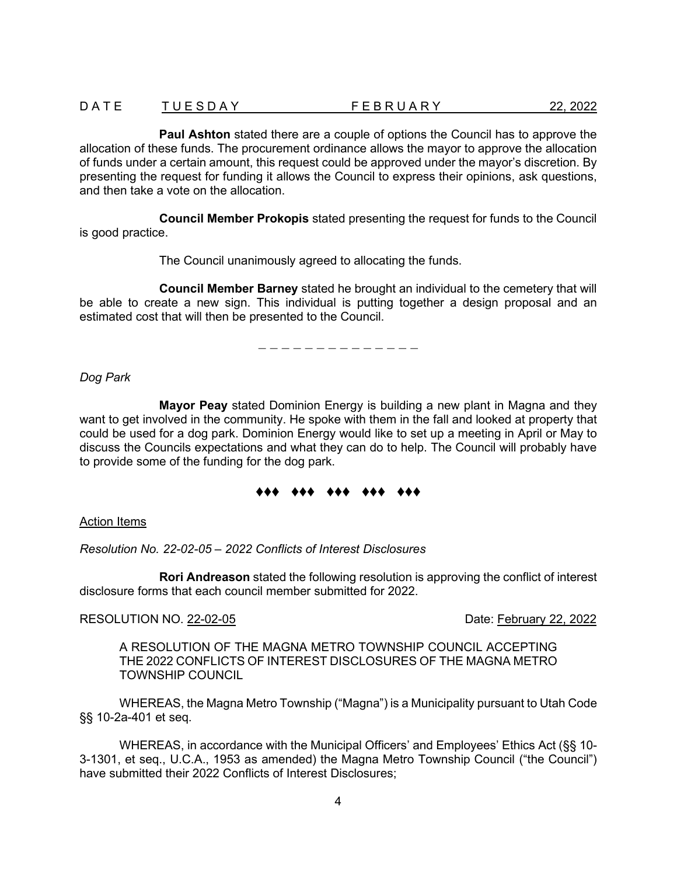| DATE | TUESDAY | FEBRUARY | 22, 2022 |
|------|---------|----------|----------|
|      |         |          |          |

**Paul Ashton** stated there are a couple of options the Council has to approve the allocation of these funds. The procurement ordinance allows the mayor to approve the allocation of funds under a certain amount, this request could be approved under the mayor's discretion. By presenting the request for funding it allows the Council to express their opinions, ask questions, and then take a vote on the allocation.

**Council Member Prokopis** stated presenting the request for funds to the Council is good practice.

The Council unanimously agreed to allocating the funds.

**Council Member Barney** stated he brought an individual to the cemetery that will be able to create a new sign. This individual is putting together a design proposal and an estimated cost that will then be presented to the Council.

− − − − − − − − − − − − − −

*Dog Park* 

**Mayor Peay** stated Dominion Energy is building a new plant in Magna and they want to get involved in the community. He spoke with them in the fall and looked at property that could be used for a dog park. Dominion Energy would like to set up a meeting in April or May to discuss the Councils expectations and what they can do to help. The Council will probably have to provide some of the funding for the dog park.

# ♦♦♦ ♦♦♦ ♦♦♦ ♦♦♦ ♦♦♦

### Action Items

*Resolution No. 22-02-05 – 2022 Conflicts of Interest Disclosures* 

**Rori Andreason** stated the following resolution is approving the conflict of interest disclosure forms that each council member submitted for 2022.

## RESOLUTION NO. 22-02-05 **Date:** February 22, 2022

A RESOLUTION OF THE MAGNA METRO TOWNSHIP COUNCIL ACCEPTING THE 2022 CONFLICTS OF INTEREST DISCLOSURES OF THE MAGNA METRO TOWNSHIP COUNCIL

WHEREAS, the Magna Metro Township ("Magna") is a Municipality pursuant to Utah Code §§ 10-2a-401 et seq.

WHEREAS, in accordance with the Municipal Officers' and Employees' Ethics Act (§§ 10- 3-1301, et seq., U.C.A., 1953 as amended) the Magna Metro Township Council ("the Council") have submitted their 2022 Conflicts of Interest Disclosures;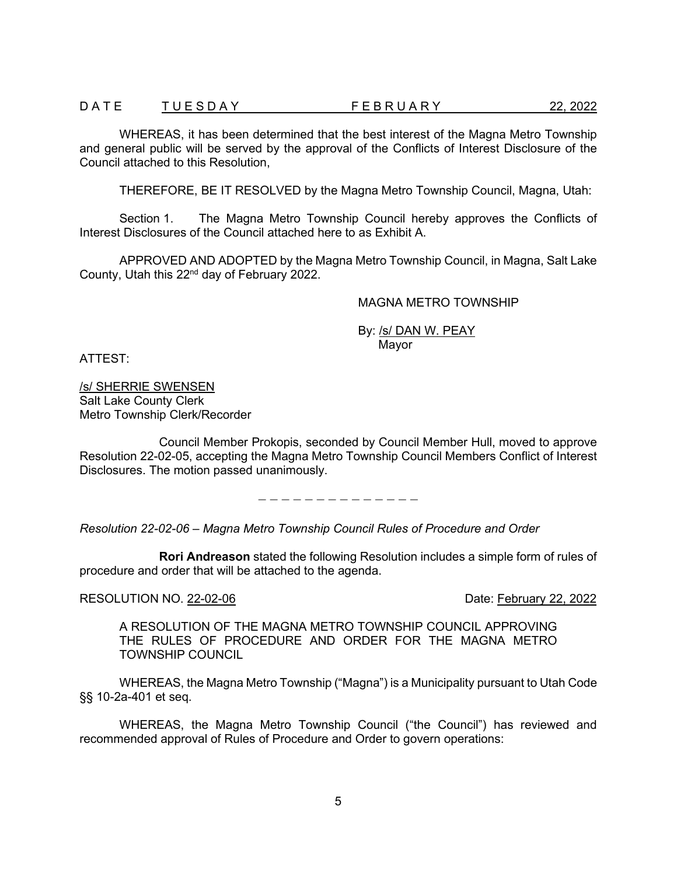## D A T E T U E S D A Y T LE B R U A R Y T LE A T U E S D A Y 22, 2022

WHEREAS, it has been determined that the best interest of the Magna Metro Township and general public will be served by the approval of the Conflicts of Interest Disclosure of the Council attached to this Resolution,

THEREFORE, BE IT RESOLVED by the Magna Metro Township Council, Magna, Utah:

Section 1. The Magna Metro Township Council hereby approves the Conflicts of Interest Disclosures of the Council attached here to as Exhibit A.

APPROVED AND ADOPTED by the Magna Metro Township Council, in Magna, Salt Lake County, Utah this 22nd day of February 2022.

## MAGNA METRO TOWNSHIP

By: /s/ DAN W. PEAY Mayor

ATTEST:

/s/ SHERRIE SWENSEN Salt Lake County Clerk Metro Township Clerk/Recorder

Council Member Prokopis, seconded by Council Member Hull, moved to approve Resolution 22-02-05, accepting the Magna Metro Township Council Members Conflict of Interest Disclosures. The motion passed unanimously.

− − − − − − − − − − − − − −

*Resolution 22-02-06 – Magna Metro Township Council Rules of Procedure and Order*

**Rori Andreason** stated the following Resolution includes a simple form of rules of procedure and order that will be attached to the agenda.

RESOLUTION NO. 22-02-06 Date: February 22, 2022

A RESOLUTION OF THE MAGNA METRO TOWNSHIP COUNCIL APPROVING THE RULES OF PROCEDURE AND ORDER FOR THE MAGNA METRO TOWNSHIP COUNCIL

WHEREAS, the Magna Metro Township ("Magna") is a Municipality pursuant to Utah Code §§ 10-2a-401 et seq.

WHEREAS, the Magna Metro Township Council ("the Council") has reviewed and recommended approval of Rules of Procedure and Order to govern operations: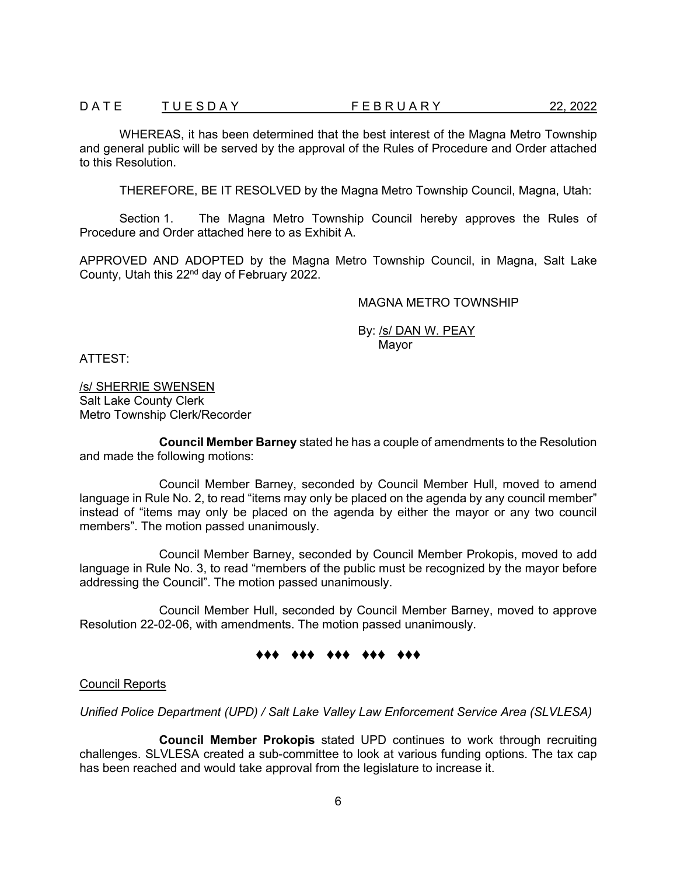## D A T U E S D A Y F E B R U A R Y 22, 2022

WHEREAS, it has been determined that the best interest of the Magna Metro Township and general public will be served by the approval of the Rules of Procedure and Order attached to this Resolution.

THEREFORE, BE IT RESOLVED by the Magna Metro Township Council, Magna, Utah:

Section 1. The Magna Metro Township Council hereby approves the Rules of Procedure and Order attached here to as Exhibit A.

APPROVED AND ADOPTED by the Magna Metro Township Council, in Magna, Salt Lake County, Utah this 22nd day of February 2022.

### MAGNA METRO TOWNSHIP

By: /s/ DAN W. PEAY Mayor

ATTEST:

/s/ SHERRIE SWENSEN Salt Lake County Clerk Metro Township Clerk/Recorder

**Council Member Barney** stated he has a couple of amendments to the Resolution and made the following motions:

Council Member Barney, seconded by Council Member Hull, moved to amend language in Rule No. 2, to read "items may only be placed on the agenda by any council member" instead of "items may only be placed on the agenda by either the mayor or any two council members". The motion passed unanimously.

Council Member Barney, seconded by Council Member Prokopis, moved to add language in Rule No. 3, to read "members of the public must be recognized by the mayor before addressing the Council". The motion passed unanimously.

Council Member Hull, seconded by Council Member Barney, moved to approve Resolution 22-02-06, with amendments. The motion passed unanimously.

# ♦♦♦ ♦♦♦ ♦♦♦ ♦♦♦ ♦♦♦

### Council Reports

*Unified Police Department (UPD) / Salt Lake Valley Law Enforcement Service Area (SLVLESA)*

**Council Member Prokopis** stated UPD continues to work through recruiting challenges. SLVLESA created a sub-committee to look at various funding options. The tax cap has been reached and would take approval from the legislature to increase it.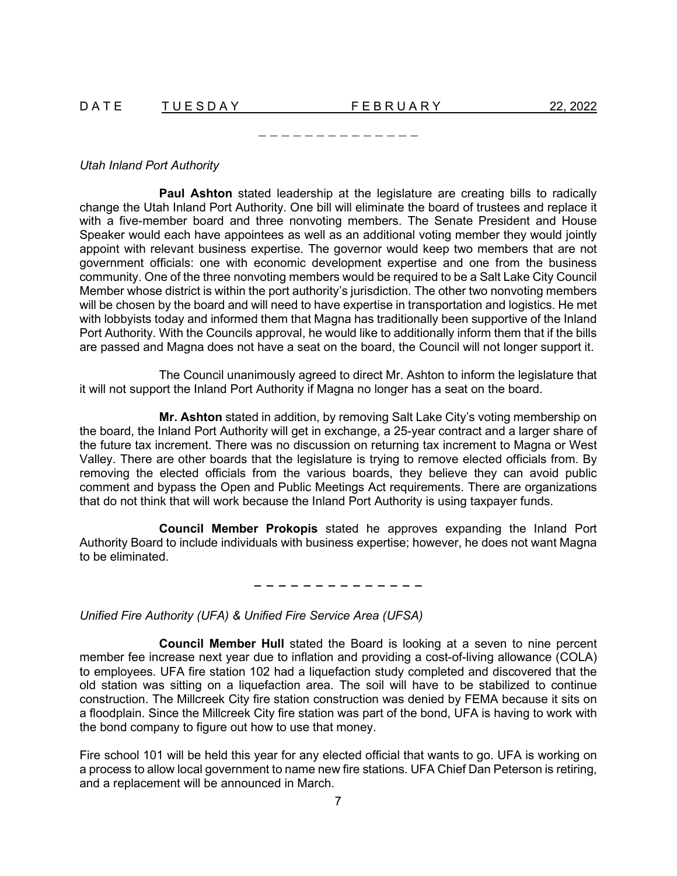*Utah Inland Port Authority*

**Paul Ashton** stated leadership at the legislature are creating bills to radically change the Utah Inland Port Authority. One bill will eliminate the board of trustees and replace it with a five-member board and three nonvoting members. The Senate President and House Speaker would each have appointees as well as an additional voting member they would jointly appoint with relevant business expertise. The governor would keep two members that are not government officials: one with economic development expertise and one from the business community. One of the three nonvoting members would be required to be a Salt Lake City Council Member whose district is within the port authority's jurisdiction. The other two nonvoting members will be chosen by the board and will need to have expertise in transportation and logistics. He met with lobbyists today and informed them that Magna has traditionally been supportive of the Inland Port Authority. With the Councils approval, he would like to additionally inform them that if the bills are passed and Magna does not have a seat on the board, the Council will not longer support it.

− − − − − − − − − − − − − −

The Council unanimously agreed to direct Mr. Ashton to inform the legislature that it will not support the Inland Port Authority if Magna no longer has a seat on the board.

**Mr. Ashton** stated in addition, by removing Salt Lake City's voting membership on the board, the Inland Port Authority will get in exchange, a 25-year contract and a larger share of the future tax increment. There was no discussion on returning tax increment to Magna or West Valley. There are other boards that the legislature is trying to remove elected officials from. By removing the elected officials from the various boards, they believe they can avoid public comment and bypass the Open and Public Meetings Act requirements. There are organizations that do not think that will work because the Inland Port Authority is using taxpayer funds.

**Council Member Prokopis** stated he approves expanding the Inland Port Authority Board to include individuals with business expertise; however, he does not want Magna to be eliminated.

− − − − − − − − − − − − − −

*Unified Fire Authority (UFA) & Unified Fire Service Area (UFSA)*

**Council Member Hull** stated the Board is looking at a seven to nine percent member fee increase next year due to inflation and providing a cost-of-living allowance (COLA) to employees. UFA fire station 102 had a liquefaction study completed and discovered that the old station was sitting on a liquefaction area. The soil will have to be stabilized to continue construction. The Millcreek City fire station construction was denied by FEMA because it sits on a floodplain. Since the Millcreek City fire station was part of the bond, UFA is having to work with the bond company to figure out how to use that money.

Fire school 101 will be held this year for any elected official that wants to go. UFA is working on a process to allow local government to name new fire stations. UFA Chief Dan Peterson is retiring, and a replacement will be announced in March.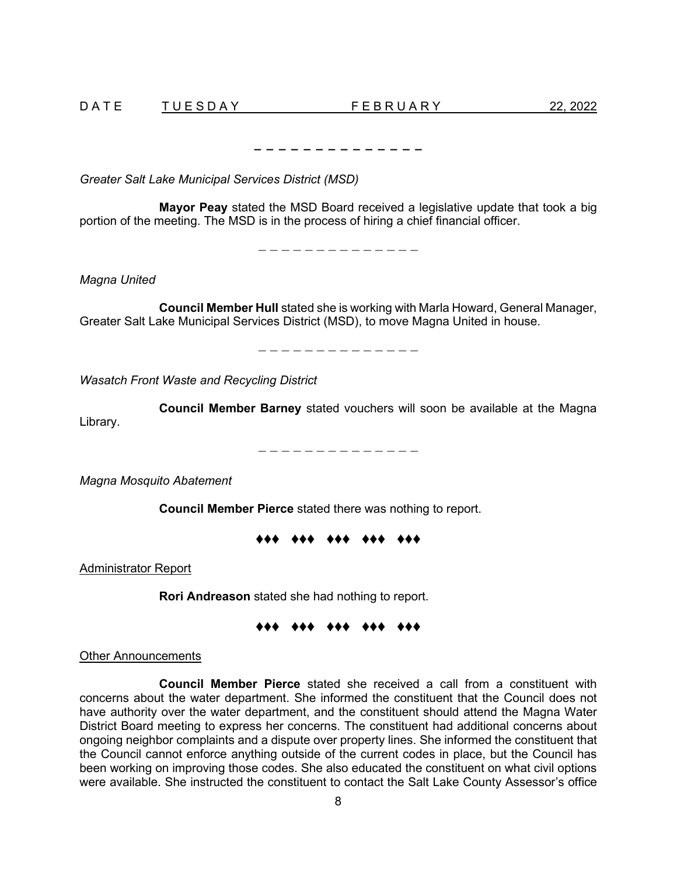− − − − − − − − − − − − − −

*Greater Salt Lake Municipal Services District (MSD)*

**Mayor Peay** stated the MSD Board received a legislative update that took a big portion of the meeting. The MSD is in the process of hiring a chief financial officer.

− − − − − − − − − − − − − −

*Magna United*

**Council Member Hull** stated she is working with Marla Howard, General Manager, Greater Salt Lake Municipal Services District (MSD), to move Magna United in house.

− − − − − − − − − − − − − −

*Wasatch Front Waste and Recycling District*

**Council Member Barney** stated vouchers will soon be available at the Magna Library.

− − − − − − − − − − − − − −

*Magna Mosquito Abatement*

**Council Member Pierce** stated there was nothing to report.

# ♦♦♦ ♦♦♦ ♦♦♦ ♦♦♦ ♦♦♦

Administrator Report

**Rori Andreason** stated she had nothing to report.

### ♦♦♦ ♦♦♦ ♦♦♦ ♦♦♦ ♦♦♦

Other Announcements

**Council Member Pierce** stated she received a call from a constituent with concerns about the water department. She informed the constituent that the Council does not have authority over the water department, and the constituent should attend the Magna Water District Board meeting to express her concerns. The constituent had additional concerns about ongoing neighbor complaints and a dispute over property lines. She informed the constituent that the Council cannot enforce anything outside of the current codes in place, but the Council has been working on improving those codes. She also educated the constituent on what civil options were available. She instructed the constituent to contact the Salt Lake County Assessor's office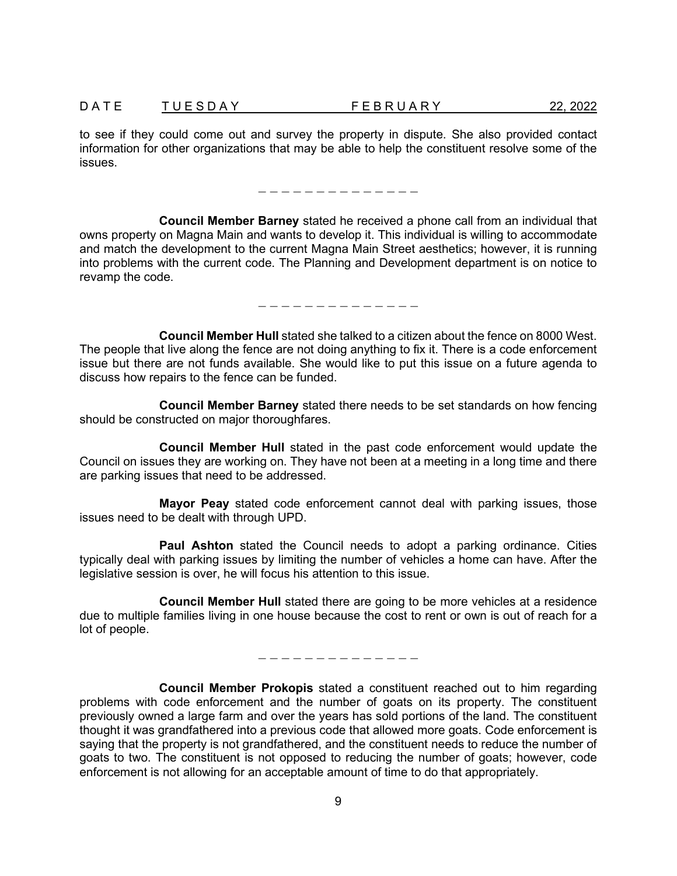to see if they could come out and survey the property in dispute. She also provided contact information for other organizations that may be able to help the constituent resolve some of the issues.

− − − − − − − − − − − − − −

**Council Member Barney** stated he received a phone call from an individual that owns property on Magna Main and wants to develop it. This individual is willing to accommodate and match the development to the current Magna Main Street aesthetics; however, it is running into problems with the current code. The Planning and Development department is on notice to revamp the code.

− − − − − − − − − − − − − −

**Council Member Hull** stated she talked to a citizen about the fence on 8000 West. The people that live along the fence are not doing anything to fix it. There is a code enforcement issue but there are not funds available. She would like to put this issue on a future agenda to discuss how repairs to the fence can be funded.

**Council Member Barney** stated there needs to be set standards on how fencing should be constructed on major thoroughfares.

**Council Member Hull** stated in the past code enforcement would update the Council on issues they are working on. They have not been at a meeting in a long time and there are parking issues that need to be addressed.

**Mayor Peay** stated code enforcement cannot deal with parking issues, those issues need to be dealt with through UPD.

**Paul Ashton** stated the Council needs to adopt a parking ordinance. Cities typically deal with parking issues by limiting the number of vehicles a home can have. After the legislative session is over, he will focus his attention to this issue.

**Council Member Hull** stated there are going to be more vehicles at a residence due to multiple families living in one house because the cost to rent or own is out of reach for a lot of people.

− − − − − − − − − − − − − −

**Council Member Prokopis** stated a constituent reached out to him regarding problems with code enforcement and the number of goats on its property. The constituent previously owned a large farm and over the years has sold portions of the land. The constituent thought it was grandfathered into a previous code that allowed more goats. Code enforcement is saying that the property is not grandfathered, and the constituent needs to reduce the number of goats to two. The constituent is not opposed to reducing the number of goats; however, code enforcement is not allowing for an acceptable amount of time to do that appropriately.